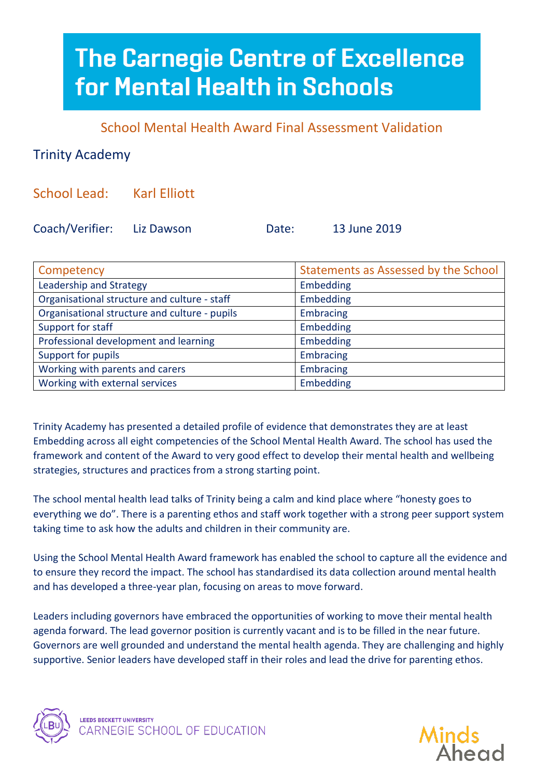## **The Carnegie Centre of Excellence** for Mental Health in Schools

School Mental Health Award Final Assessment Validation

## Trinity Academy

School Lead: Karl Elliott

Coach/Verifier: Liz Dawson Date: 13 June 2019

| Competency                                    | Statements as Assessed by the School |
|-----------------------------------------------|--------------------------------------|
| Leadership and Strategy                       | Embedding                            |
| Organisational structure and culture - staff  | Embedding                            |
| Organisational structure and culture - pupils | <b>Embracing</b>                     |
| Support for staff                             | Embedding                            |
| Professional development and learning         | Embedding                            |
| Support for pupils                            | Embracing                            |
| Working with parents and carers               | <b>Embracing</b>                     |
| Working with external services                | Embedding                            |

Trinity Academy has presented a detailed profile of evidence that demonstrates they are at least Embedding across all eight competencies of the School Mental Health Award. The school has used the framework and content of the Award to very good effect to develop their mental health and wellbeing strategies, structures and practices from a strong starting point.

The school mental health lead talks of Trinity being a calm and kind place where "honesty goes to everything we do". There is a parenting ethos and staff work together with a strong peer support system taking time to ask how the adults and children in their community are.

Using the School Mental Health Award framework has enabled the school to capture all the evidence and to ensure they record the impact. The school has standardised its data collection around mental health and has developed a three-year plan, focusing on areas to move forward.

Leaders including governors have embraced the opportunities of working to move their mental health agenda forward. The lead governor position is currently vacant and is to be filled in the near future. Governors are well grounded and understand the mental health agenda. They are challenging and highly supportive. Senior leaders have developed staff in their roles and lead the drive for parenting ethos.



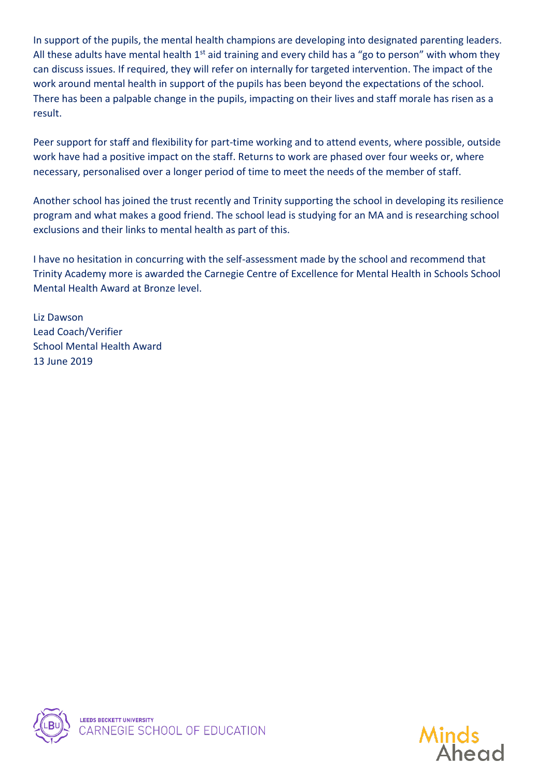In support of the pupils, the mental health champions are developing into designated parenting leaders. All these adults have mental health  $1<sup>st</sup>$  aid training and every child has a "go to person" with whom they can discuss issues. If required, they will refer on internally for targeted intervention. The impact of the work around mental health in support of the pupils has been beyond the expectations of the school. There has been a palpable change in the pupils, impacting on their lives and staff morale has risen as a result.

Peer support for staff and flexibility for part-time working and to attend events, where possible, outside work have had a positive impact on the staff. Returns to work are phased over four weeks or, where necessary, personalised over a longer period of time to meet the needs of the member of staff.

Another school has joined the trust recently and Trinity supporting the school in developing its resilience program and what makes a good friend. The school lead is studying for an MA and is researching school exclusions and their links to mental health as part of this.

I have no hesitation in concurring with the self-assessment made by the school and recommend that Trinity Academy more is awarded the Carnegie Centre of Excellence for Mental Health in Schools School Mental Health Award at Bronze level.

Liz Dawson Lead Coach/Verifier School Mental Health Award 13 June 2019



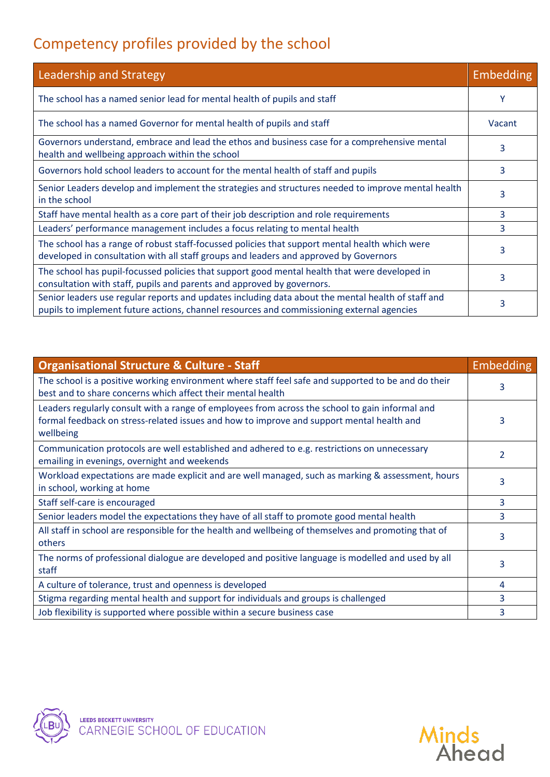## Competency profiles provided by the school

| Leadership and Strategy                                                                                                                                                                         | Embedding |
|-------------------------------------------------------------------------------------------------------------------------------------------------------------------------------------------------|-----------|
| The school has a named senior lead for mental health of pupils and staff                                                                                                                        | Υ         |
| The school has a named Governor for mental health of pupils and staff                                                                                                                           | Vacant    |
| Governors understand, embrace and lead the ethos and business case for a comprehensive mental<br>health and wellbeing approach within the school                                                | 3         |
| Governors hold school leaders to account for the mental health of staff and pupils                                                                                                              | 3         |
| Senior Leaders develop and implement the strategies and structures needed to improve mental health<br>in the school                                                                             | 3         |
| Staff have mental health as a core part of their job description and role requirements                                                                                                          | 3         |
| Leaders' performance management includes a focus relating to mental health                                                                                                                      | 3         |
| The school has a range of robust staff-focussed policies that support mental health which were<br>developed in consultation with all staff groups and leaders and approved by Governors         | 3         |
| The school has pupil-focussed policies that support good mental health that were developed in<br>consultation with staff, pupils and parents and approved by governors.                         | 3         |
| Senior leaders use regular reports and updates including data about the mental health of staff and<br>pupils to implement future actions, channel resources and commissioning external agencies | 3         |

| <b>Organisational Structure &amp; Culture - Staff</b>                                                                                                                                                     | Embedding |
|-----------------------------------------------------------------------------------------------------------------------------------------------------------------------------------------------------------|-----------|
| The school is a positive working environment where staff feel safe and supported to be and do their<br>best and to share concerns which affect their mental health                                        | 3         |
| Leaders regularly consult with a range of employees from across the school to gain informal and<br>formal feedback on stress-related issues and how to improve and support mental health and<br>wellbeing | 3         |
| Communication protocols are well established and adhered to e.g. restrictions on unnecessary<br>emailing in evenings, overnight and weekends                                                              | 2         |
| Workload expectations are made explicit and are well managed, such as marking & assessment, hours<br>in school, working at home                                                                           | 3         |
| Staff self-care is encouraged                                                                                                                                                                             | 3         |
| Senior leaders model the expectations they have of all staff to promote good mental health                                                                                                                | 3         |
| All staff in school are responsible for the health and wellbeing of themselves and promoting that of<br>others                                                                                            | 3         |
| The norms of professional dialogue are developed and positive language is modelled and used by all<br>staff                                                                                               | 3         |
| A culture of tolerance, trust and openness is developed                                                                                                                                                   | 4         |
| Stigma regarding mental health and support for individuals and groups is challenged                                                                                                                       | 3         |
| Job flexibility is supported where possible within a secure business case                                                                                                                                 | 3         |



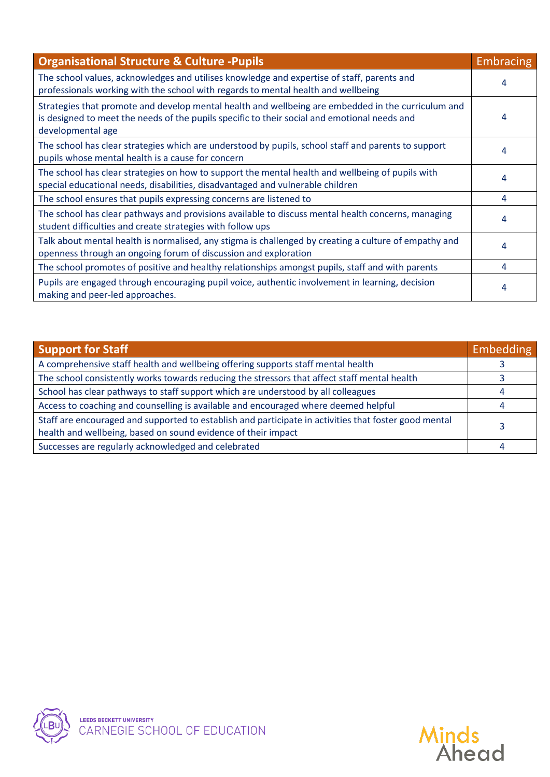| <b>Organisational Structure &amp; Culture - Pupils</b>                                                                                                                                                                  | <b>Embracing</b> |
|-------------------------------------------------------------------------------------------------------------------------------------------------------------------------------------------------------------------------|------------------|
| The school values, acknowledges and utilises knowledge and expertise of staff, parents and<br>professionals working with the school with regards to mental health and wellbeing                                         | 4                |
| Strategies that promote and develop mental health and wellbeing are embedded in the curriculum and<br>is designed to meet the needs of the pupils specific to their social and emotional needs and<br>developmental age | 4                |
| The school has clear strategies which are understood by pupils, school staff and parents to support<br>pupils whose mental health is a cause for concern                                                                | 4                |
| The school has clear strategies on how to support the mental health and wellbeing of pupils with<br>special educational needs, disabilities, disadvantaged and vulnerable children                                      | 4                |
| The school ensures that pupils expressing concerns are listened to                                                                                                                                                      | 4                |
| The school has clear pathways and provisions available to discuss mental health concerns, managing<br>student difficulties and create strategies with follow ups                                                        | 4                |
| Talk about mental health is normalised, any stigma is challenged by creating a culture of empathy and<br>openness through an ongoing forum of discussion and exploration                                                | 4                |
| The school promotes of positive and healthy relationships amongst pupils, staff and with parents                                                                                                                        | 4                |
| Pupils are engaged through encouraging pupil voice, authentic involvement in learning, decision<br>making and peer-led approaches.                                                                                      | 4                |

| <b>Support for Staff</b>                                                                                                                                               |  |
|------------------------------------------------------------------------------------------------------------------------------------------------------------------------|--|
| A comprehensive staff health and wellbeing offering supports staff mental health                                                                                       |  |
| The school consistently works towards reducing the stressors that affect staff mental health                                                                           |  |
| School has clear pathways to staff support which are understood by all colleagues                                                                                      |  |
| Access to coaching and counselling is available and encouraged where deemed helpful                                                                                    |  |
| Staff are encouraged and supported to establish and participate in activities that foster good mental<br>health and wellbeing, based on sound evidence of their impact |  |
| Successes are regularly acknowledged and celebrated                                                                                                                    |  |



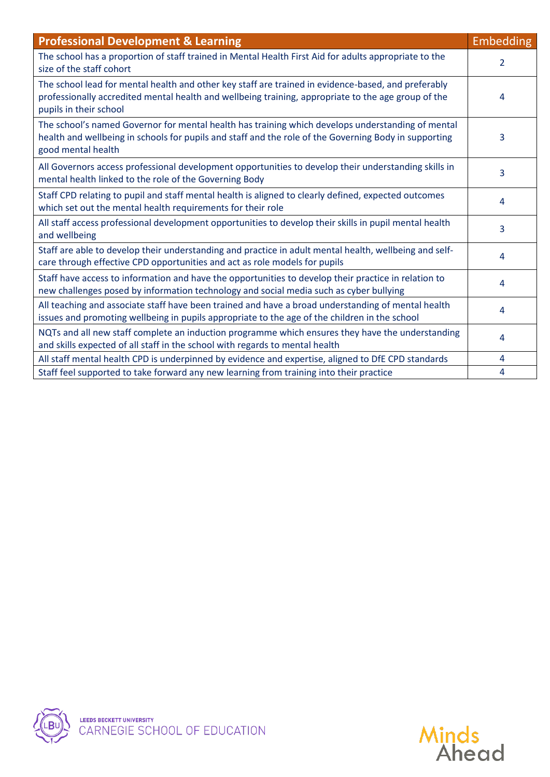| <b>Professional Development &amp; Learning</b>                                                                                                                                                                                       | <b>Embedding</b> |
|--------------------------------------------------------------------------------------------------------------------------------------------------------------------------------------------------------------------------------------|------------------|
| The school has a proportion of staff trained in Mental Health First Aid for adults appropriate to the<br>size of the staff cohort                                                                                                    | $\overline{2}$   |
| The school lead for mental health and other key staff are trained in evidence-based, and preferably<br>professionally accredited mental health and wellbeing training, appropriate to the age group of the<br>pupils in their school | 4                |
| The school's named Governor for mental health has training which develops understanding of mental<br>health and wellbeing in schools for pupils and staff and the role of the Governing Body in supporting<br>good mental health     | 3                |
| All Governors access professional development opportunities to develop their understanding skills in<br>mental health linked to the role of the Governing Body                                                                       | 3                |
| Staff CPD relating to pupil and staff mental health is aligned to clearly defined, expected outcomes<br>which set out the mental health requirements for their role                                                                  | 4                |
| All staff access professional development opportunities to develop their skills in pupil mental health<br>and wellbeing                                                                                                              | 3                |
| Staff are able to develop their understanding and practice in adult mental health, wellbeing and self-<br>care through effective CPD opportunities and act as role models for pupils                                                 | 4                |
| Staff have access to information and have the opportunities to develop their practice in relation to<br>new challenges posed by information technology and social media such as cyber bullying                                       | 4                |
| All teaching and associate staff have been trained and have a broad understanding of mental health<br>issues and promoting wellbeing in pupils appropriate to the age of the children in the school                                  | 4                |
| NQTs and all new staff complete an induction programme which ensures they have the understanding<br>and skills expected of all staff in the school with regards to mental health                                                     | 4                |
| All staff mental health CPD is underpinned by evidence and expertise, aligned to DfE CPD standards                                                                                                                                   | 4                |
| Staff feel supported to take forward any new learning from training into their practice                                                                                                                                              | 4                |



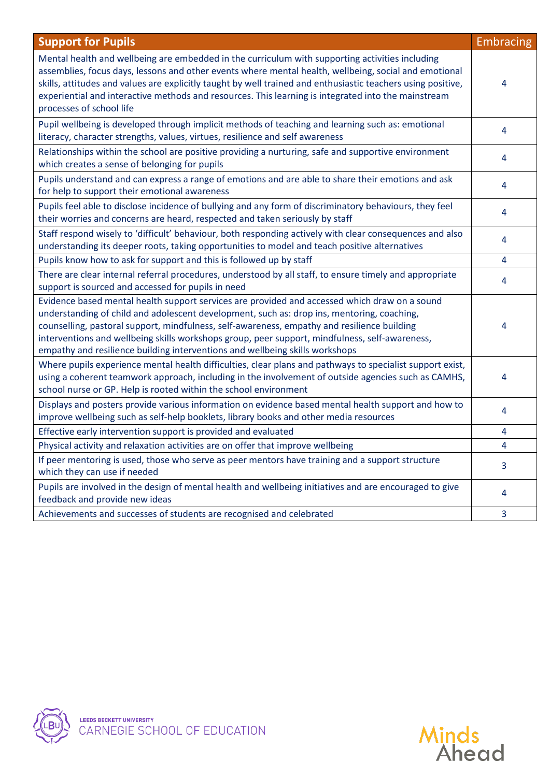| <b>Support for Pupils</b>                                                                                                                                                                                                                                                                                                                                                                                                                                                    | <b>Embracing</b> |
|------------------------------------------------------------------------------------------------------------------------------------------------------------------------------------------------------------------------------------------------------------------------------------------------------------------------------------------------------------------------------------------------------------------------------------------------------------------------------|------------------|
| Mental health and wellbeing are embedded in the curriculum with supporting activities including<br>assemblies, focus days, lessons and other events where mental health, wellbeing, social and emotional<br>skills, attitudes and values are explicitly taught by well trained and enthusiastic teachers using positive,<br>experiential and interactive methods and resources. This learning is integrated into the mainstream<br>processes of school life                  | 4                |
| Pupil wellbeing is developed through implicit methods of teaching and learning such as: emotional<br>literacy, character strengths, values, virtues, resilience and self awareness                                                                                                                                                                                                                                                                                           | 4                |
| Relationships within the school are positive providing a nurturing, safe and supportive environment<br>which creates a sense of belonging for pupils                                                                                                                                                                                                                                                                                                                         | 4                |
| Pupils understand and can express a range of emotions and are able to share their emotions and ask<br>for help to support their emotional awareness                                                                                                                                                                                                                                                                                                                          | 4                |
| Pupils feel able to disclose incidence of bullying and any form of discriminatory behaviours, they feel<br>their worries and concerns are heard, respected and taken seriously by staff                                                                                                                                                                                                                                                                                      | 4                |
| Staff respond wisely to 'difficult' behaviour, both responding actively with clear consequences and also<br>understanding its deeper roots, taking opportunities to model and teach positive alternatives                                                                                                                                                                                                                                                                    | 4                |
| Pupils know how to ask for support and this is followed up by staff                                                                                                                                                                                                                                                                                                                                                                                                          | 4                |
| There are clear internal referral procedures, understood by all staff, to ensure timely and appropriate<br>support is sourced and accessed for pupils in need                                                                                                                                                                                                                                                                                                                | 4                |
| Evidence based mental health support services are provided and accessed which draw on a sound<br>understanding of child and adolescent development, such as: drop ins, mentoring, coaching,<br>counselling, pastoral support, mindfulness, self-awareness, empathy and resilience building<br>interventions and wellbeing skills workshops group, peer support, mindfulness, self-awareness,<br>empathy and resilience building interventions and wellbeing skills workshops | 4                |
| Where pupils experience mental health difficulties, clear plans and pathways to specialist support exist,<br>using a coherent teamwork approach, including in the involvement of outside agencies such as CAMHS,<br>school nurse or GP. Help is rooted within the school environment                                                                                                                                                                                         | 4                |
| Displays and posters provide various information on evidence based mental health support and how to<br>improve wellbeing such as self-help booklets, library books and other media resources                                                                                                                                                                                                                                                                                 | 4                |
| Effective early intervention support is provided and evaluated                                                                                                                                                                                                                                                                                                                                                                                                               | 4                |
| Physical activity and relaxation activities are on offer that improve wellbeing                                                                                                                                                                                                                                                                                                                                                                                              | 4                |
| If peer mentoring is used, those who serve as peer mentors have training and a support structure<br>which they can use if needed                                                                                                                                                                                                                                                                                                                                             | 3                |
| Pupils are involved in the design of mental health and wellbeing initiatives and are encouraged to give<br>feedback and provide new ideas                                                                                                                                                                                                                                                                                                                                    | 4                |
| Achievements and successes of students are recognised and celebrated                                                                                                                                                                                                                                                                                                                                                                                                         | 3                |